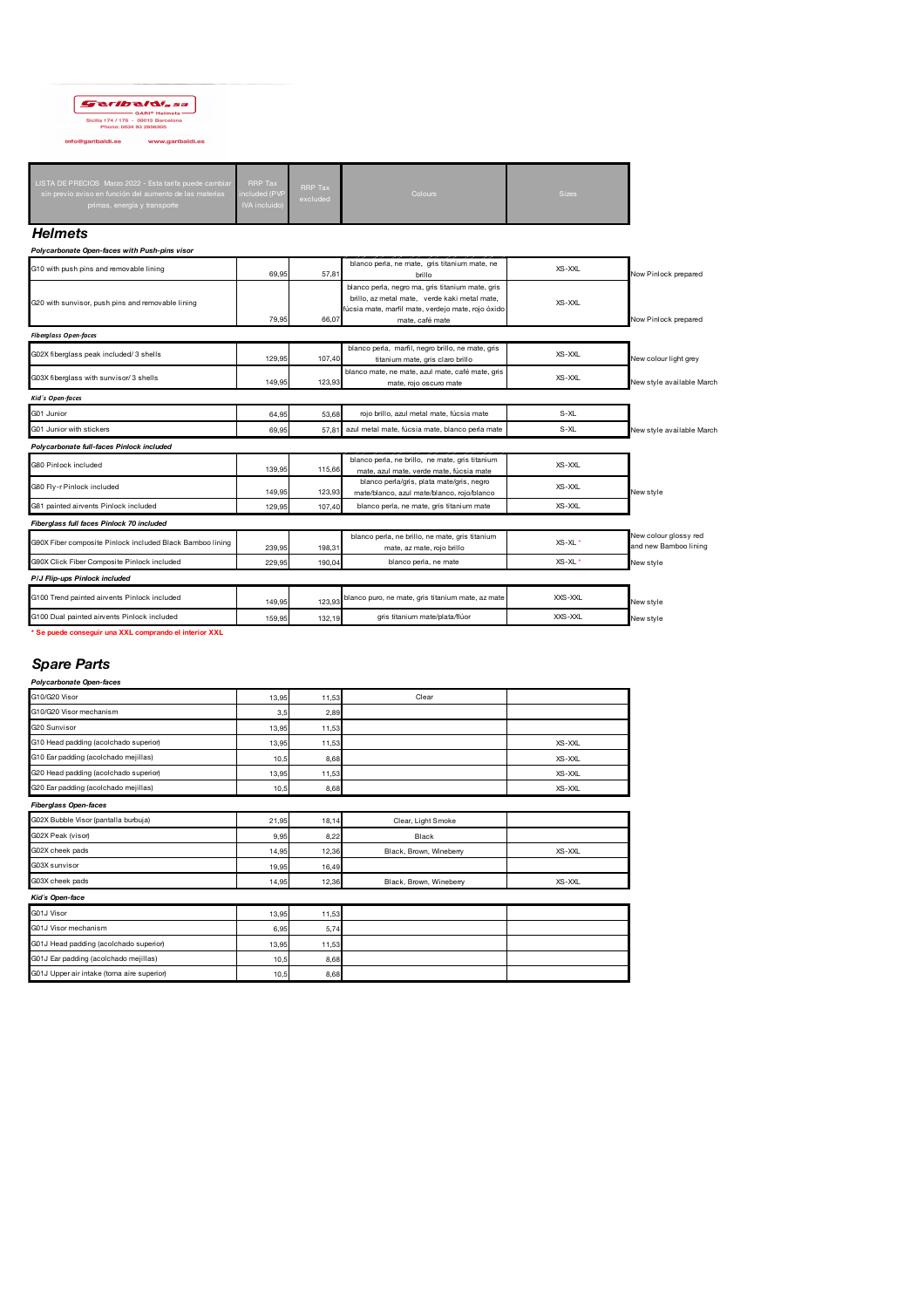# $\fbox{Sicilia 174/176 - 0.8018 Helonets\nSicilia 174/176 - 0.8013 Barcelona\nPhone: 0034 93 2656305$

info@garibaldi.es www.garibaldi.es

| LISTA DE PRECIOS Marzo 2022 - Esta tarifa puede cambiar<br><b>RRP Tax</b><br><b>RRP Tax</b><br>included (PVP<br>sin previo aviso en función del aumento de las materias<br>excluded<br><b>IVA incluido)</b><br>primas, energía y transporte | Colours | <b>Sizes</b> |
|---------------------------------------------------------------------------------------------------------------------------------------------------------------------------------------------------------------------------------------------|---------|--------------|
|---------------------------------------------------------------------------------------------------------------------------------------------------------------------------------------------------------------------------------------------|---------|--------------|

## *Helmets*

| Polycarbonate Open-faces with Push-pins visor |  |  |  |  |  |
|-----------------------------------------------|--|--|--|--|--|
|-----------------------------------------------|--|--|--|--|--|

|                                                           |        |        | __________                                                                                                                                              |                    |                                                |
|-----------------------------------------------------------|--------|--------|---------------------------------------------------------------------------------------------------------------------------------------------------------|--------------------|------------------------------------------------|
| G10 with push pins and removable lining                   | 69.95  | 57.81  | blanco perla, ne mate, gris titanium mate, ne<br>brillo                                                                                                 | XS-XXI             | Now Pinlock prepared                           |
| G20 with sunvisor, push pins and removable lining         |        |        | blanco perla, negro ma, gris titanium mate, gris<br>brillo, az metal mate, verde kaki metal mate,<br>fúcsia mate, marfil mate, verdejo mate, rojo óxido | XS-XXL             |                                                |
|                                                           | 79.95  | 66,07  | mate, café mate                                                                                                                                         |                    | Now Pinlock prepared                           |
| <b>Fiberglass Open-faces</b>                              |        |        |                                                                                                                                                         |                    |                                                |
| G02X fiberglass peak included/ 3 shells                   | 129,95 | 107,40 | blanco perla, marfil, negro brillo, ne mate, gris<br>titanium mate, gris claro brillo                                                                   | XS-XXL             | New colour light grey                          |
| G03X fiberglass with sunvisor/3 shells                    | 149.95 | 123.93 | blanco mate, ne mate, azul mate, café mate, gris<br>mate, rojo oscuro mate                                                                              | XS-XXL             | New style available March                      |
| Kid's Open-faces                                          |        |        |                                                                                                                                                         |                    |                                                |
| G01 Junior                                                | 64,95  | 53.68  | rojo brillo, azul metal mate, fúcsia mate                                                                                                               | S-XL               |                                                |
| G01 Junior with stickers                                  | 69.95  | 57.81  | azul metal mate, fúcsia mate, blanco perla mate                                                                                                         | S-XL               | New style available March                      |
| Polycarbonate full-faces Pinlock included                 |        |        |                                                                                                                                                         |                    |                                                |
| G80 Pinlock included                                      | 139.95 | 115.66 | blanco perla, ne brillo, ne mate, gris titanium<br>mate, azul mate, verde mate, fúcsia mate                                                             | XS-XXI             |                                                |
| G80 Fly-r Pinlock included                                | 149.95 | 123.93 | blanco perla/gris, plata mate/gris, negro<br>mate/blanco, azul mate/blanco, rojo/blanco                                                                 | XS-XXL             | New style                                      |
| G81 painted airvents Pinlock included                     | 129.95 | 107.40 | blanco perla, ne mate, gris titanium mate                                                                                                               | XS-XXI             |                                                |
| Fiberglass full faces Pinlock 70 included                 |        |        |                                                                                                                                                         |                    |                                                |
| G90X Fiber composite Pinlock included Black Bamboo lining | 239.95 | 198.31 | blanco perla, ne brillo, ne mate, gris titanium<br>mate, az mate, rojo brillo                                                                           | XS-XL <sup>*</sup> | New colour glossy red<br>and new Bamboo lining |
| G90X Click Fiber Composite Pinlock included               | 229.95 | 190.04 | blanco perla, ne mate                                                                                                                                   | $XS-XI$            | New style                                      |
| P/J Flip-ups Pinlock included                             |        |        |                                                                                                                                                         |                    |                                                |
| G100 Trend painted airvents Pinlock included              | 149,95 | 123,93 | blanco puro, ne mate, gris titanium mate, az mate                                                                                                       | XXS-XXL            | New style                                      |
| G100 Dual painted airvents Pinlock included               | 159.95 | 132.19 | gris titanium mate/plata/flúor                                                                                                                          | XXS-XXL            | New style                                      |

**\* Se puede conseguir una XXL comprando el interior XXL**

# *Spare Parts*

| Polycarbonate Open-faces                   |       |       |                         |            |
|--------------------------------------------|-------|-------|-------------------------|------------|
| G10/G20 Visor                              | 13,95 | 11,53 | Clear                   |            |
| G10/G20 Visor mechanism                    | 3,5   | 2.89  |                         |            |
| G20 Sunvisor                               | 13,95 | 11.53 |                         |            |
| G10 Head padding (acolchado superior)      | 13,95 | 11,53 |                         | XS-XXL     |
| G10 Ear padding (acolchado mejillas)       | 10,5  | 8,68  |                         | XS-XXL     |
| G20 Head padding (acolchado superior)      | 13,95 | 11.53 |                         | XS-XXL     |
| G20 Ear padding (acolchado mejillas)       | 10,5  | 8,68  |                         | XS-XXL     |
| <b>Fiberglass Open-faces</b>               |       |       |                         |            |
| G02X Bubble Visor (pantalla burbuja)       | 21,95 | 18,14 | Clear, Light Smoke      |            |
| G02X Peak (visor)                          | 9,95  | 8,22  | Black                   |            |
| G02X cheek pads                            | 14,95 | 12,36 | Black, Brown, Wineberry | $XS - XXI$ |
| G03X sunvisor                              | 19,95 | 16.49 |                         |            |
| G03X cheek pads                            | 14,95 | 12,36 | Black, Brown, Wineberry | XS-XXL     |
| Kid's Open-face                            |       |       |                         |            |
| G01J Visor                                 | 13,95 | 11,53 |                         |            |
| G01J Visor mechanism                       | 6,95  | 5,74  |                         |            |
| G01J Head padding (acolchado superior)     | 13,95 | 11,53 |                         |            |
| G01J Ear padding (acolchado mejillas)      | 10,5  | 8,68  |                         |            |
| G01J Upper air intake (toma aire superior) | 10,5  | 8,68  |                         |            |